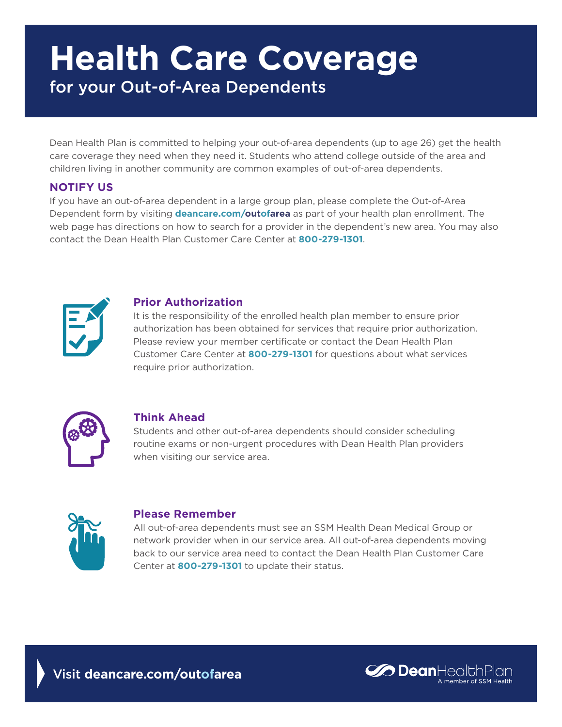# **Health Care Coverage** for your Out-of-Area Dependents

Dean Health Plan is committed to helping your out-of-area dependents (up to age 26) get the health care coverage they need when they need it. Students who attend college outside of the area and children living in another community are common examples of out-of-area dependents.

### **NOTIFY US**

If you have an out-of-area dependent in a large group plan, please complete the Out-of-Area Dependent form by visiting **deancare.com/outofarea** as part of your health plan enrollment. The web page has directions on how to search for a provider in the dependent's new area. You may also contact the Dean Health Plan Customer Care Center at **800-279-1301**.



### **Prior Authorization**

It is the responsibility of the enrolled health plan member to ensure prior authorization has been obtained for services that require prior authorization. Please review your member certificate or contact the Dean Health Plan Customer Care Center at **800-279-1301** for questions about what services require prior authorization.



### **Think Ahead**

Students and other out-of-area dependents should consider scheduling routine exams or non-urgent procedures with Dean Health Plan providers when visiting our service area.



### **Please Remember**

All out-of-area dependents must see an SSM Health Dean Medical Group or network provider when in our service area. All out-of-area dependents moving back to our service area need to contact the Dean Health Plan Customer Care Center at **800-279-1301** to update their status.